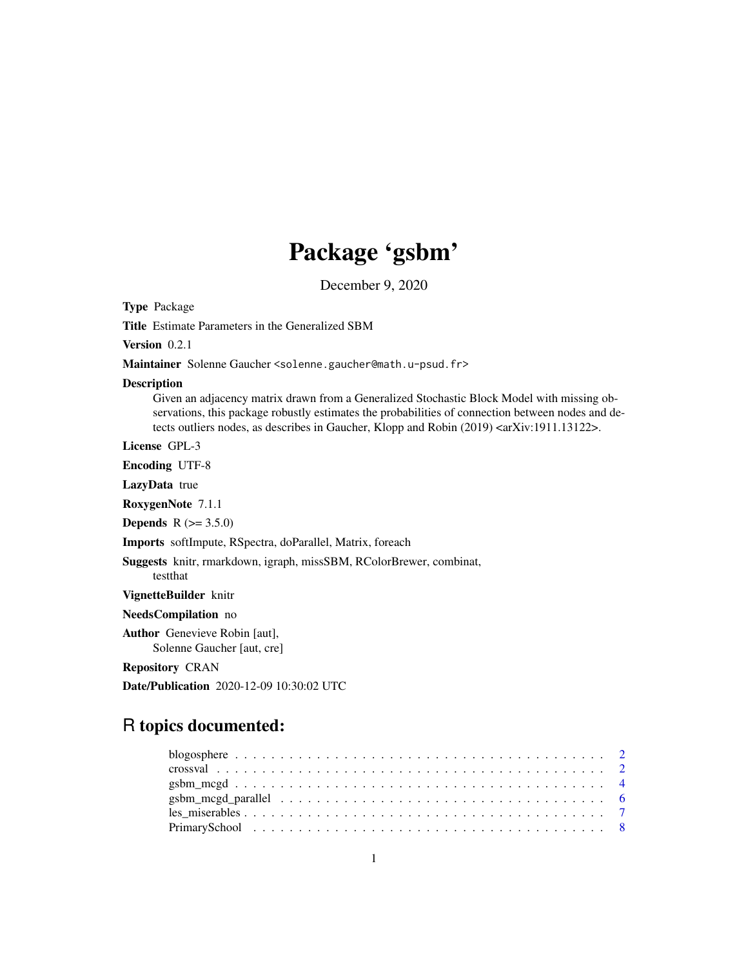## Package 'gsbm'

December 9, 2020

Type Package

Title Estimate Parameters in the Generalized SBM

Version 0.2.1

Maintainer Solenne Gaucher <solenne.gaucher@math.u-psud.fr>

#### Description

Given an adjacency matrix drawn from a Generalized Stochastic Block Model with missing observations, this package robustly estimates the probabilities of connection between nodes and detects outliers nodes, as describes in Gaucher, Klopp and Robin (2019) <arXiv:1911.13122>.

License GPL-3

Encoding UTF-8

LazyData true

RoxygenNote 7.1.1

**Depends**  $R (= 3.5.0)$ 

Imports softImpute, RSpectra, doParallel, Matrix, foreach

Suggests knitr, rmarkdown, igraph, missSBM, RColorBrewer, combinat, testthat

VignetteBuilder knitr

NeedsCompilation no

Author Genevieve Robin [aut], Solenne Gaucher [aut, cre]

Repository CRAN

Date/Publication 2020-12-09 10:30:02 UTC

### R topics documented: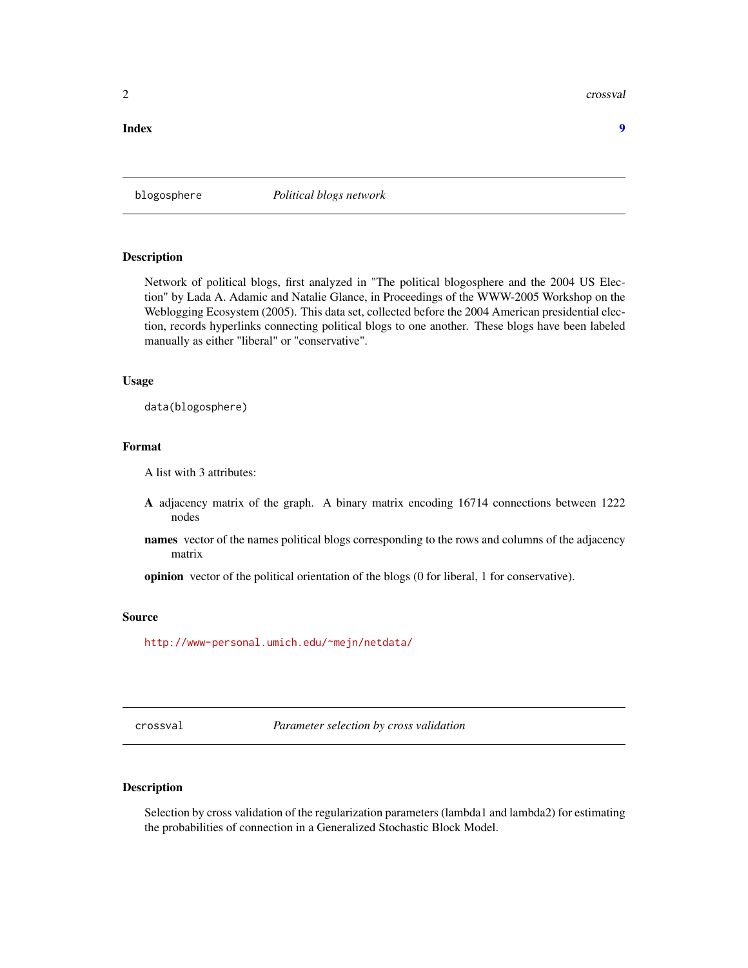<span id="page-1-0"></span>2 crossval and the crossval crossval crossval crossval crossval crossval crossval crossval crossval crossval crossval crossval crossval crossval crossval crossval crossval crossval crossval crossval crossval crossval cross

#### **Index** [9](#page-8-0)

blogosphere *Political blogs network*

#### Description

Network of political blogs, first analyzed in "The political blogosphere and the 2004 US Election" by Lada A. Adamic and Natalie Glance, in Proceedings of the WWW-2005 Workshop on the Weblogging Ecosystem (2005). This data set, collected before the 2004 American presidential election, records hyperlinks connecting political blogs to one another. These blogs have been labeled manually as either "liberal" or "conservative".

#### Usage

data(blogosphere)

#### Format

A list with 3 attributes:

- A adjacency matrix of the graph. A binary matrix encoding 16714 connections between 1222 nodes
- names vector of the names political blogs corresponding to the rows and columns of the adjacency matrix

opinion vector of the political orientation of the blogs (0 for liberal, 1 for conservative).

#### Source

<http://www-personal.umich.edu/~mejn/netdata/>

crossval *Parameter selection by cross validation*

#### Description

Selection by cross validation of the regularization parameters (lambda1 and lambda2) for estimating the probabilities of connection in a Generalized Stochastic Block Model.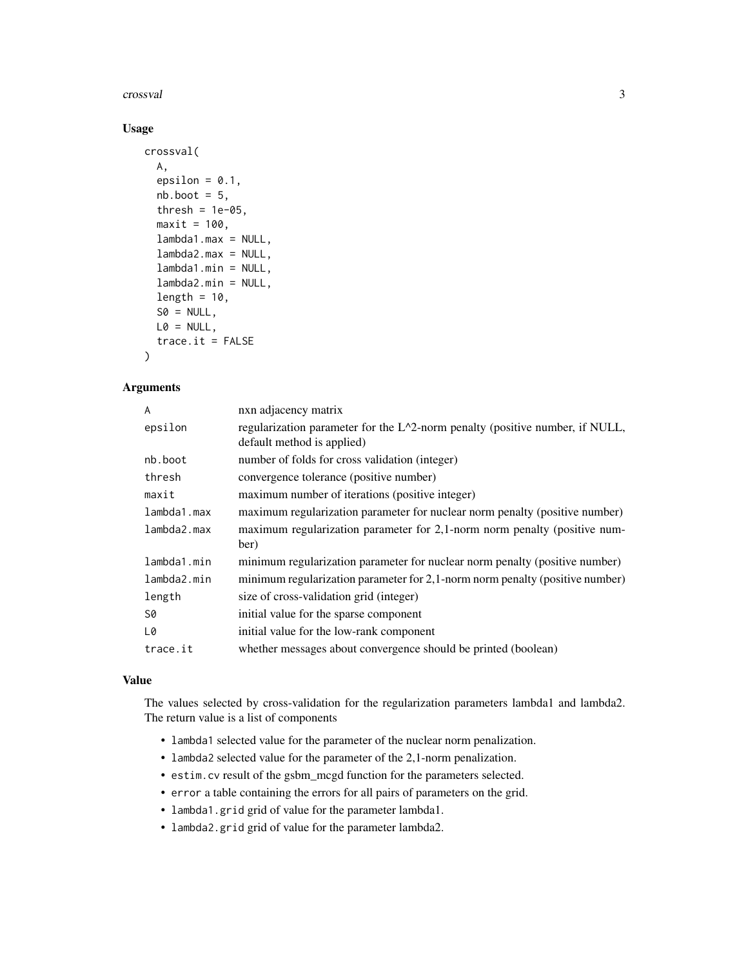crossval 3

#### Usage

```
crossval(
  A,
  epsilon = 0.1,
  nb.boot = 5,
  thresh = 1e-05,
  maxit = 100,
  lambda1.max = NULL,
  lambda2.max = NULL,lambda1.min = NULL,
  lambda2.min = NULL,
  length = 10,
  SO = NULL,L0 = NULL,trace.it = FALSE)
```
#### Arguments

| A           | nxn adjacency matrix                                                                                          |
|-------------|---------------------------------------------------------------------------------------------------------------|
| epsilon     | regularization parameter for the $L^2$ -norm penalty (positive number, if NULL,<br>default method is applied) |
| nb.boot     | number of folds for cross validation (integer)                                                                |
| thresh      | convergence tolerance (positive number)                                                                       |
| maxit       | maximum number of iterations (positive integer)                                                               |
| lambda1.max | maximum regularization parameter for nuclear norm penalty (positive number)                                   |
| lambda2.max | maximum regularization parameter for 2,1-norm norm penalty (positive num-<br>ber)                             |
| lambda1.min | minimum regularization parameter for nuclear norm penalty (positive number)                                   |
| lambda2.min | minimum regularization parameter for 2,1-norm norm penalty (positive number)                                  |
| length      | size of cross-validation grid (integer)                                                                       |
| S0          | initial value for the sparse component                                                                        |
| L0          | initial value for the low-rank component                                                                      |
| trace.it    | whether messages about convergence should be printed (boolean)                                                |

#### Value

The values selected by cross-validation for the regularization parameters lambda1 and lambda2. The return value is a list of components

- lambda1 selected value for the parameter of the nuclear norm penalization.
- lambda2 selected value for the parameter of the 2,1-norm penalization.
- estim.cv result of the gsbm\_mcgd function for the parameters selected.
- error a table containing the errors for all pairs of parameters on the grid.
- lambda1.grid grid of value for the parameter lambda1.
- lambda2.grid grid of value for the parameter lambda2.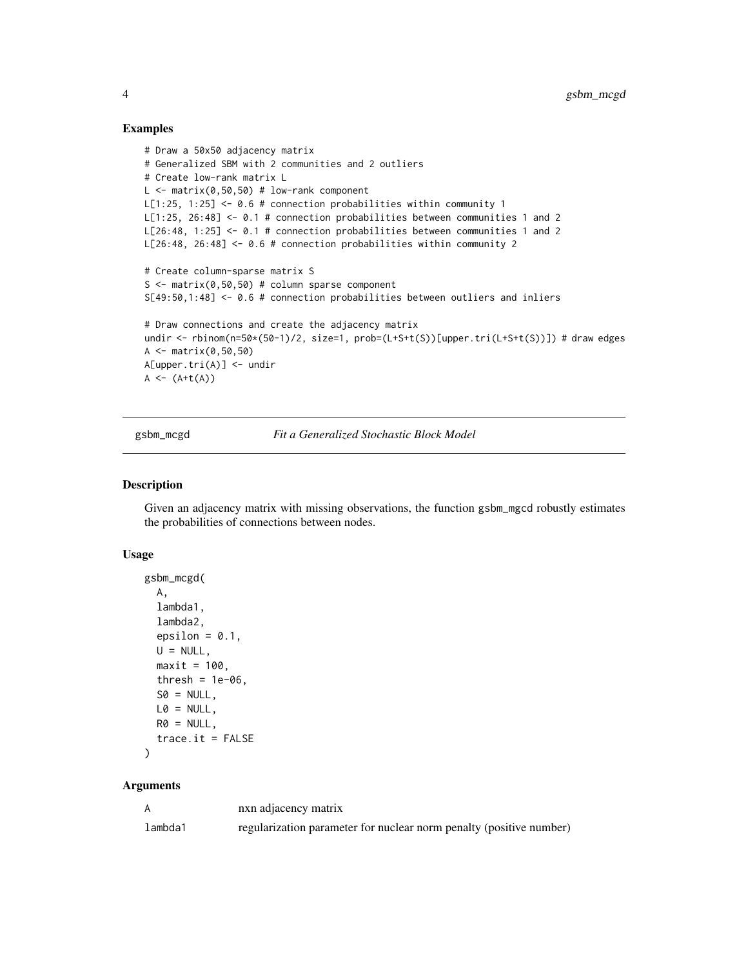#### Examples

```
# Draw a 50x50 adjacency matrix
# Generalized SBM with 2 communities and 2 outliers
# Create low-rank matrix L
L \le - matrix(0.50.50) # low-rank component
L[1:25, 1:25] \leq -0.6 # connection probabilities within community 1
L[1:25, 26:48] <- 0.1 # connection probabilities between communities 1 and 2
L[26:48, 1:25] <- 0.1 # connection probabilities between communities 1 and 2
L[26:48, 26:48] <- 0.6 # connection probabilities within community 2
# Create column-sparse matrix S
S \leq matrix(0,50,50) # column sparse component
S[49:50,1:48] <- 0.6 # connection probabilities between outliers and inliers
# Draw connections and create the adjacency matrix
undir <- rbinom(n=50*(50-1)/2, size=1, prob=(L+S+t(S))[upper.tri(L+S+t(S))]) # draw edges
A \leq - matrix(0,50,50)
A[upper.tri(A)] <- undir
A \leftarrow (A + t(A))
```
gsbm\_mcgd *Fit a Generalized Stochastic Block Model*

#### Description

Given an adjacency matrix with missing observations, the function gsbm\_mgcd robustly estimates the probabilities of connections between nodes.

#### Usage

```
gsbm_mcgd(
  A,
  lambda1,
  lambda2,
  epsilon = 0.1,
  U = NULL,maxit = 100,
  thresh = 1e-06,
  SO = NULL,L0 = NULL,RØ = NULL,trace.it = FALSE)
```
#### Arguments

|         | nxn adjacency matrix                                                |
|---------|---------------------------------------------------------------------|
| lambda1 | regularization parameter for nuclear norm penalty (positive number) |

<span id="page-3-0"></span>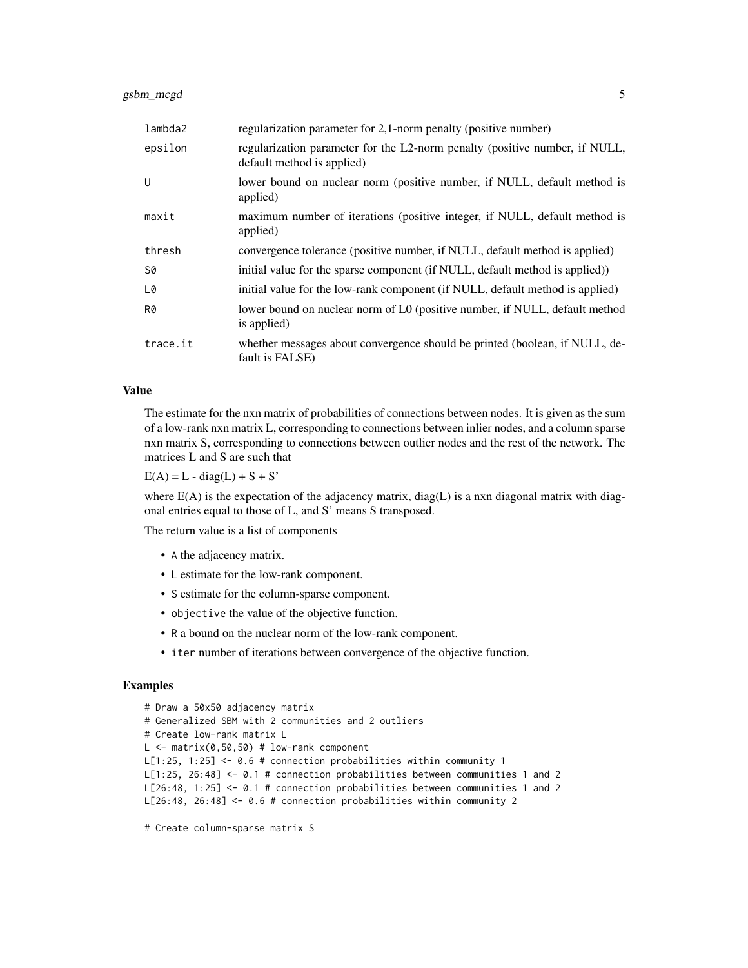| lambda2  | regularization parameter for 2,1-norm penalty (positive number)                                           |
|----------|-----------------------------------------------------------------------------------------------------------|
| epsilon  | regularization parameter for the L2-norm penalty (positive number, if NULL,<br>default method is applied) |
| U        | lower bound on nuclear norm (positive number, if NULL, default method is<br>applied)                      |
| maxit    | maximum number of iterations (positive integer, if NULL, default method is<br>applied)                    |
| thresh   | convergence tolerance (positive number, if NULL, default method is applied)                               |
| S0       | initial value for the sparse component (if NULL, default method is applied))                              |
| L0       | initial value for the low-rank component (if NULL, default method is applied)                             |
| R0       | lower bound on nuclear norm of L0 (positive number, if NULL, default method<br>is applied)                |
| trace.it | whether messages about convergence should be printed (boolean, if NULL, de-<br>fault is FALSE)            |

#### Value

The estimate for the nxn matrix of probabilities of connections between nodes. It is given as the sum of a low-rank nxn matrix L, corresponding to connections between inlier nodes, and a column sparse nxn matrix S, corresponding to connections between outlier nodes and the rest of the network. The matrices L and S are such that

 $E(A) = L - diag(L) + S + S'$ 

where  $E(A)$  is the expectation of the adjacency matrix, diag(L) is a nxn diagonal matrix with diagonal entries equal to those of L, and S' means S transposed.

The return value is a list of components

- A the adjacency matrix.
- L estimate for the low-rank component.
- S estimate for the column-sparse component.
- objective the value of the objective function.
- R a bound on the nuclear norm of the low-rank component.
- iter number of iterations between convergence of the objective function.

#### Examples

```
# Draw a 50x50 adjacency matrix
# Generalized SBM with 2 communities and 2 outliers
# Create low-rank matrix L
L \le - matrix(0,50,50) # low-rank component
L[1:25, 1:25] <- 0.6 # connection probabilities within community 1
L[1:25, 26:48] <- 0.1 # connection probabilities between communities 1 and 2
L[26:48, 1:25] <- 0.1 # connection probabilities between communities 1 and 2
L[26:48, 26:48] <- 0.6 # connection probabilities within community 2
```
# Create column-sparse matrix S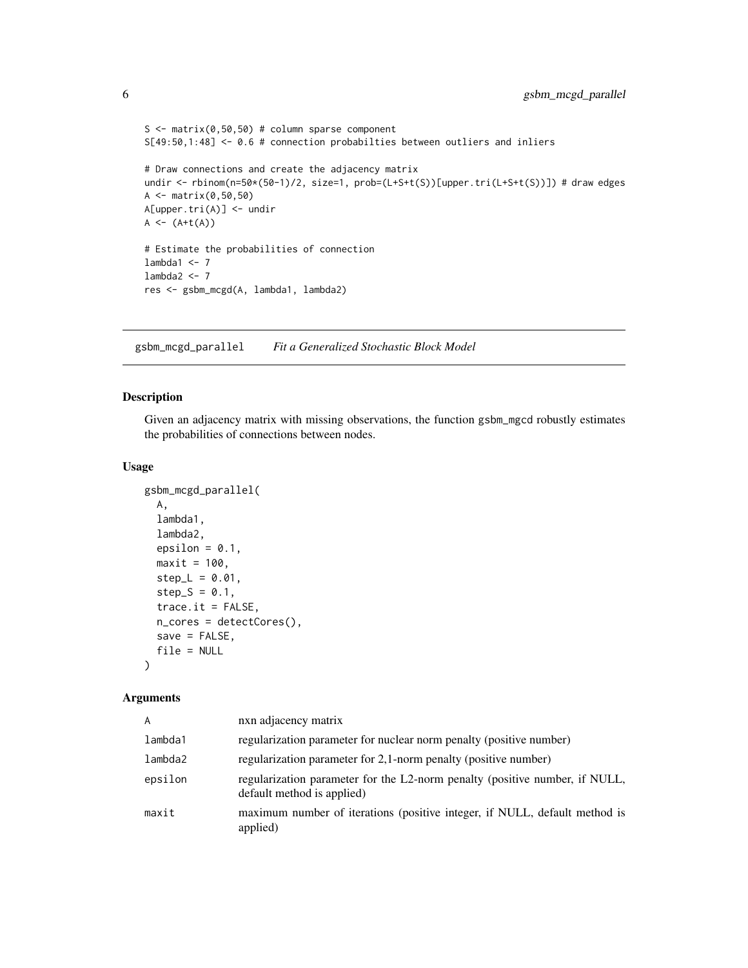```
S \leq - matrix(0,50,50) # column sparse component
S[49:50,1:48] <- 0.6 # connection probabilties between outliers and inliers
# Draw connections and create the adjacency matrix
undir <- rbinom(n=50*(50-1)/2, size=1, prob=(L+S+t(S))[upper.tri(L+S+t(S))]) # draw edges
A <- matrix(0,50,50)
A[upper.tri(A)] <- undir
A \leftarrow (A + t(A))# Estimate the probabilities of connection
lambda1 < -7lambda2 <-7res <- gsbm_mcgd(A, lambda1, lambda2)
```
gsbm\_mcgd\_parallel *Fit a Generalized Stochastic Block Model*

#### Description

Given an adjacency matrix with missing observations, the function gsbm\_mgcd robustly estimates the probabilities of connections between nodes.

#### Usage

```
gsbm_mcgd_parallel(
 A,
 lambda1,
 lambda2,
  epsilon = 0.1,
 maxit = 100,
 step_{L} = 0.01,
  step_S = 0.1,
  trace.it = FALSE,n_cores = detectCores(),
 save = FALSE,file = NULL
)
```
#### Arguments

| A       | nxn adjacency matrix                                                                                      |
|---------|-----------------------------------------------------------------------------------------------------------|
| lambda1 | regularization parameter for nuclear norm penalty (positive number)                                       |
| lambda2 | regularization parameter for 2,1-norm penalty (positive number)                                           |
| epsilon | regularization parameter for the L2-norm penalty (positive number, if NULL,<br>default method is applied) |
| maxit   | maximum number of iterations (positive integer, if NULL, default method is<br>applied)                    |

<span id="page-5-0"></span>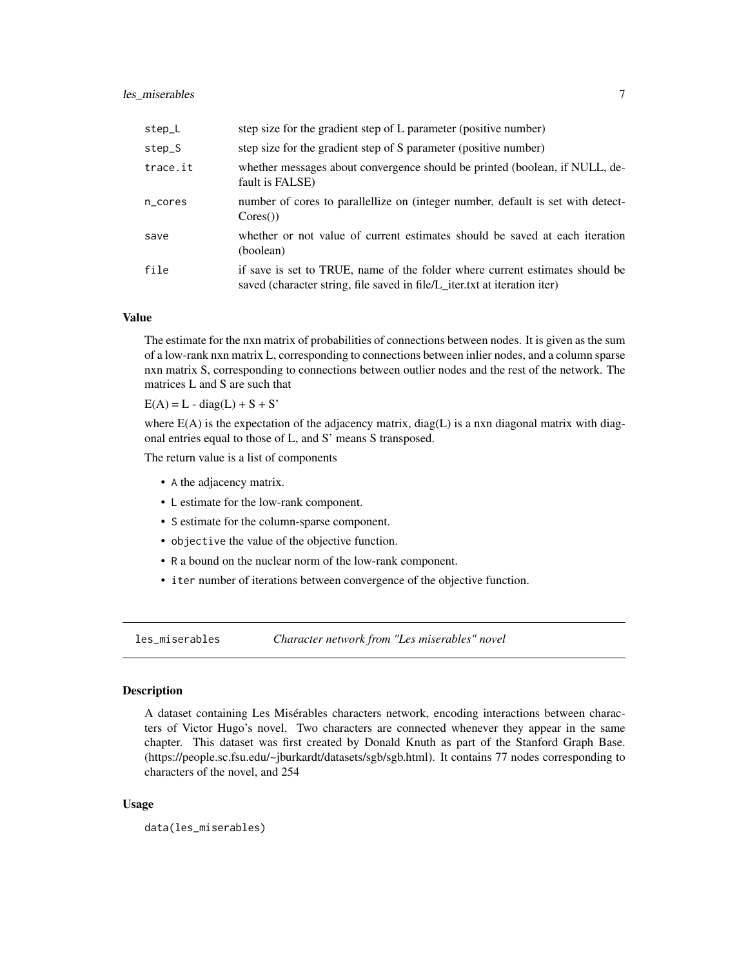#### <span id="page-6-0"></span>les miserables 7

| step_L   | step size for the gradient step of L parameter (positive number)                                                                                          |
|----------|-----------------------------------------------------------------------------------------------------------------------------------------------------------|
| step_S   | step size for the gradient step of S parameter (positive number)                                                                                          |
| trace.it | whether messages about convergence should be printed (boolean, if NULL, de-<br>fault is FALSE)                                                            |
| n_cores  | number of cores to parallellize on (integer number, default is set with detect-<br>$\text{Cores}()$                                                       |
| save     | whether or not value of current estimates should be saved at each iteration<br>(boolean)                                                                  |
| file     | if save is set to TRUE, name of the folder where current estimates should be<br>saved (character string, file saved in file/L_iter.txt at iteration iter) |

#### Value

The estimate for the nxn matrix of probabilities of connections between nodes. It is given as the sum of a low-rank nxn matrix L, corresponding to connections between inlier nodes, and a column sparse nxn matrix S, corresponding to connections between outlier nodes and the rest of the network. The matrices L and S are such that

 $E(A) = L - diag(L) + S + S'$ 

where E(A) is the expectation of the adjacency matrix, diag(L) is a nxn diagonal matrix with diagonal entries equal to those of L, and S' means S transposed.

The return value is a list of components

- A the adjacency matrix.
- L estimate for the low-rank component.
- S estimate for the column-sparse component.
- objective the value of the objective function.
- R a bound on the nuclear norm of the low-rank component.
- iter number of iterations between convergence of the objective function.

les\_miserables *Character network from "Les miserables" novel*

#### Description

A dataset containing Les Misérables characters network, encoding interactions between characters of Victor Hugo's novel. Two characters are connected whenever they appear in the same chapter. This dataset was first created by Donald Knuth as part of the Stanford Graph Base. (https://people.sc.fsu.edu/~jburkardt/datasets/sgb/sgb.html). It contains 77 nodes corresponding to characters of the novel, and 254

#### Usage

data(les\_miserables)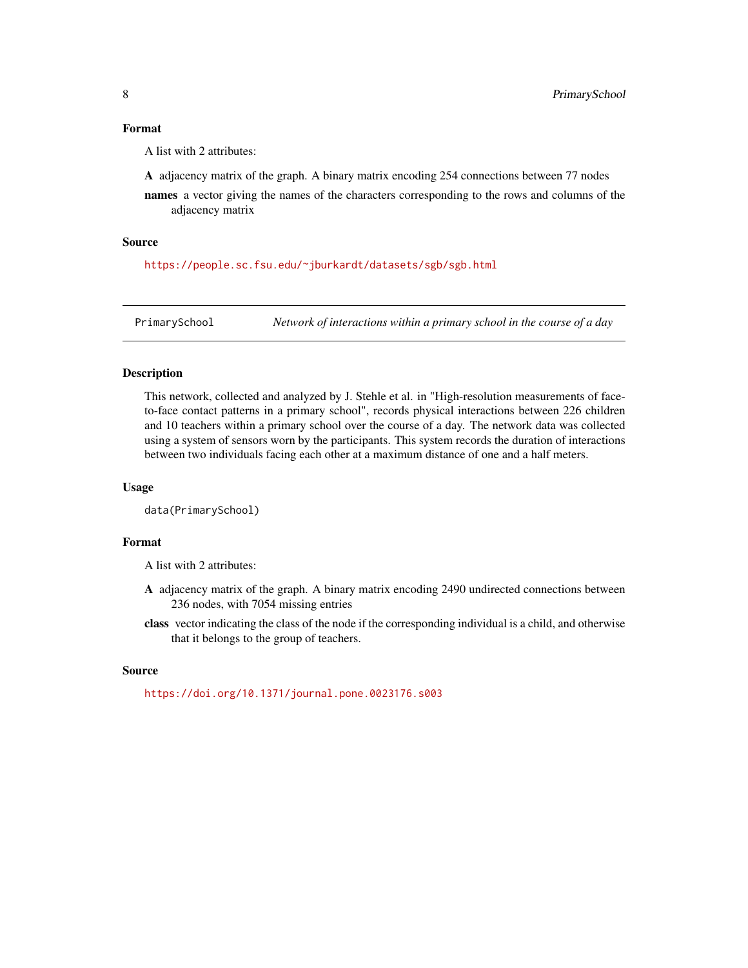#### <span id="page-7-0"></span>Format

A list with 2 attributes:

A adjacency matrix of the graph. A binary matrix encoding 254 connections between 77 nodes

names a vector giving the names of the characters corresponding to the rows and columns of the adjacency matrix

#### Source

<https://people.sc.fsu.edu/~jburkardt/datasets/sgb/sgb.html>

PrimarySchool *Network of interactions within a primary school in the course of a day*

#### Description

This network, collected and analyzed by J. Stehle et al. in "High-resolution measurements of faceto-face contact patterns in a primary school", records physical interactions between 226 children and 10 teachers within a primary school over the course of a day. The network data was collected using a system of sensors worn by the participants. This system records the duration of interactions between two individuals facing each other at a maximum distance of one and a half meters.

#### Usage

```
data(PrimarySchool)
```
#### Format

A list with 2 attributes:

- A adjacency matrix of the graph. A binary matrix encoding 2490 undirected connections between 236 nodes, with 7054 missing entries
- class vector indicating the class of the node if the corresponding individual is a child, and otherwise that it belongs to the group of teachers.

#### Source

<https://doi.org/10.1371/journal.pone.0023176.s003>